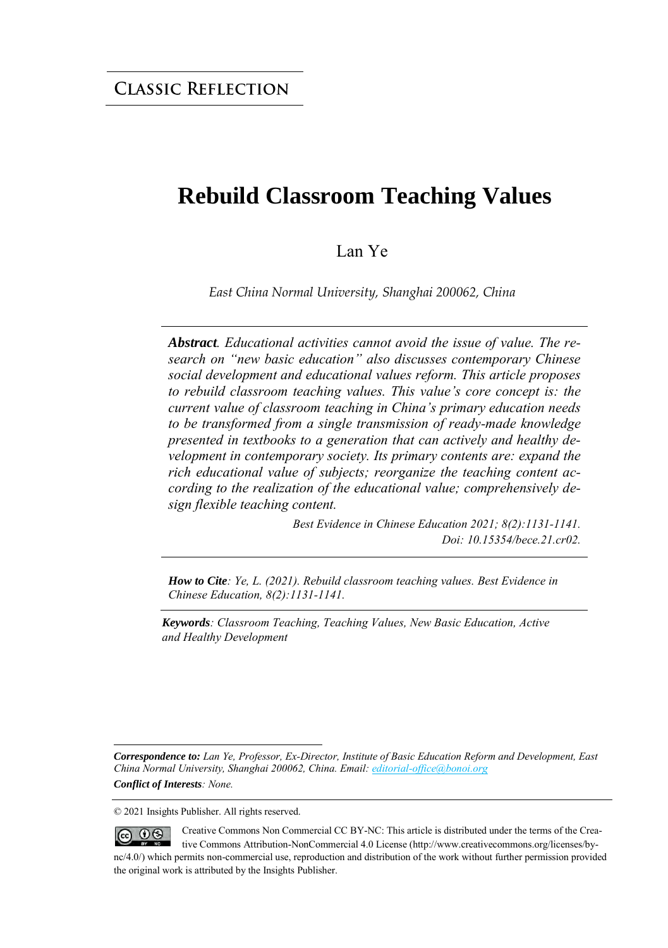### **Rebuild Classroom Teaching Values**

#### Lan Ye

*East China Normal University, Shanghai 200062, China*

*Abstract. Educational activities cannot avoid the issue of value. The research on "new basic education" also discusses contemporary Chinese social development and educational values reform. This article proposes to rebuild classroom teaching values. This value's core concept is: the current value of classroom teaching in China's primary education needs to be transformed from a single transmission of ready-made knowledge presented in textbooks to a generation that can actively and healthy development in contemporary society. Its primary contents are: expand the rich educational value of subjects; reorganize the teaching content according to the realization of the educational value; comprehensively design flexible teaching content.*

> *Best Evidence in Chinese Education 2021; 8(2):1131-1141. Doi: 10.15354/bece.21.cr02.*

*How to Cite: Ye, L. (2021). Rebuild classroom teaching values. Best Evidence in Chinese Education, 8(2):1131-1141.*

*Keywords: Classroom Teaching, Teaching Values, New Basic Education, Active and Healthy Development*

*Correspondence to: Lan Ye, Professor, Ex-Director, Institute of Basic Education Reform and Development, East China Normal University, Shanghai 200062, China. Email[: editorial-office@bonoi.org](mailto:editorial-office@bonoi.org)  Conflict of Interests: None.* 

© 2021 Insights Publisher. All rights reserved.

Creative Commons Non Commercial CC BY-NC: This article is distributed under the terms of the Crea- $0$  $(cc)$ tive Commons Attribution-NonCommercial 4.0 License (http://www.creativecommons.org/licenses/bync/4.0/) which permits non-commercial use, reproduction and distribution of the work without further permission provided the original work is attributed by the Insights Publisher.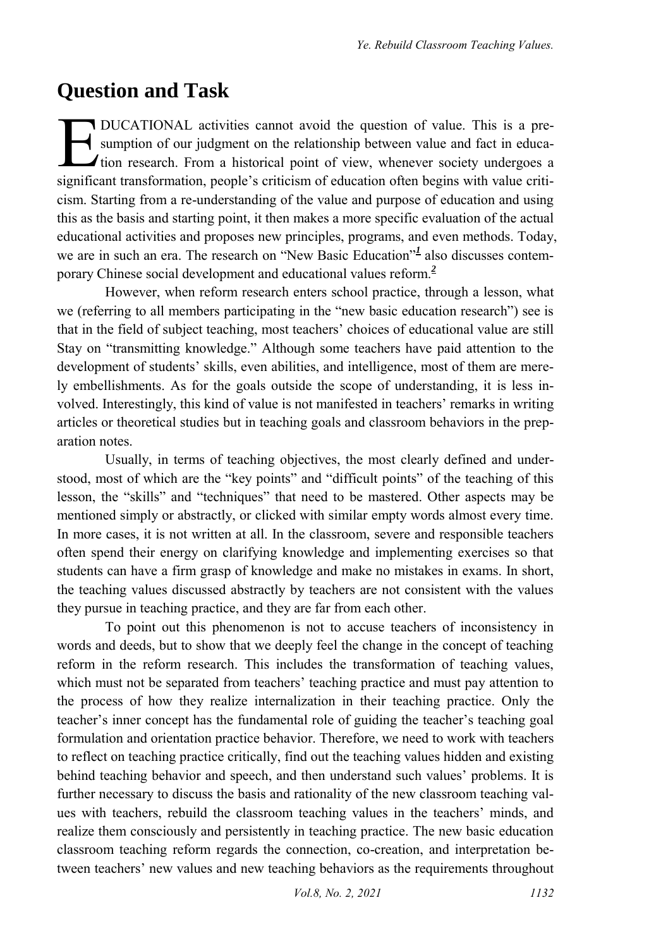#### **Question and Task**

DUCATIONAL activities cannot avoid the question of value. This is a presumption of our judgment on the relationship between value and fact in educa-*I* tion research. From a historical point of view, whenever society undergoes a DUCATIONAL activities cannot avoid the question of value. This is a pre-<br>sumption of our judgment on the relationship between value and fact in educa-<br>tion research. From a historical point of view, whenever society underg cism. Starting from a re-understanding of the value and purpose of education and using this as the basis and starting point, it then makes a more specific evaluation of the actual educational activities and proposes new principles, programs, and even methods. Today, weare in such an era. The research on "New Basic Education"<sup>1</sup> also discusses contemporary Chinese social development and educational values refor[m.](#page-10-0)*<sup>2</sup>*

However, when reform research enters school practice, through a lesson, what we (referring to all members participating in the "new basic education research") see is that in the field of subject teaching, most teachers' choices of educational value are still Stay on "transmitting knowledge." Although some teachers have paid attention to the development of students' skills, even abilities, and intelligence, most of them are merely embellishments. As for the goals outside the scope of understanding, it is less involved. Interestingly, this kind of value is not manifested in teachers' remarks in writing articles or theoretical studies but in teaching goals and classroom behaviors in the preparation notes.

Usually, in terms of teaching objectives, the most clearly defined and understood, most of which are the "key points" and "difficult points" of the teaching of this lesson, the "skills" and "techniques" that need to be mastered. Other aspects may be mentioned simply or abstractly, or clicked with similar empty words almost every time. In more cases, it is not written at all. In the classroom, severe and responsible teachers often spend their energy on clarifying knowledge and implementing exercises so that students can have a firm grasp of knowledge and make no mistakes in exams. In short, the teaching values discussed abstractly by teachers are not consistent with the values they pursue in teaching practice, and they are far from each other.

To point out this phenomenon is not to accuse teachers of inconsistency in words and deeds, but to show that we deeply feel the change in the concept of teaching reform in the reform research. This includes the transformation of teaching values, which must not be separated from teachers' teaching practice and must pay attention to the process of how they realize internalization in their teaching practice. Only the teacher's inner concept has the fundamental role of guiding the teacher's teaching goal formulation and orientation practice behavior. Therefore, we need to work with teachers to reflect on teaching practice critically, find out the teaching values hidden and existing behind teaching behavior and speech, and then understand such values' problems. It is further necessary to discuss the basis and rationality of the new classroom teaching values with teachers, rebuild the classroom teaching values in the teachers' minds, and realize them consciously and persistently in teaching practice. The new basic education classroom teaching reform regards the connection, co-creation, and interpretation between teachers' new values and new teaching behaviors as the requirements throughout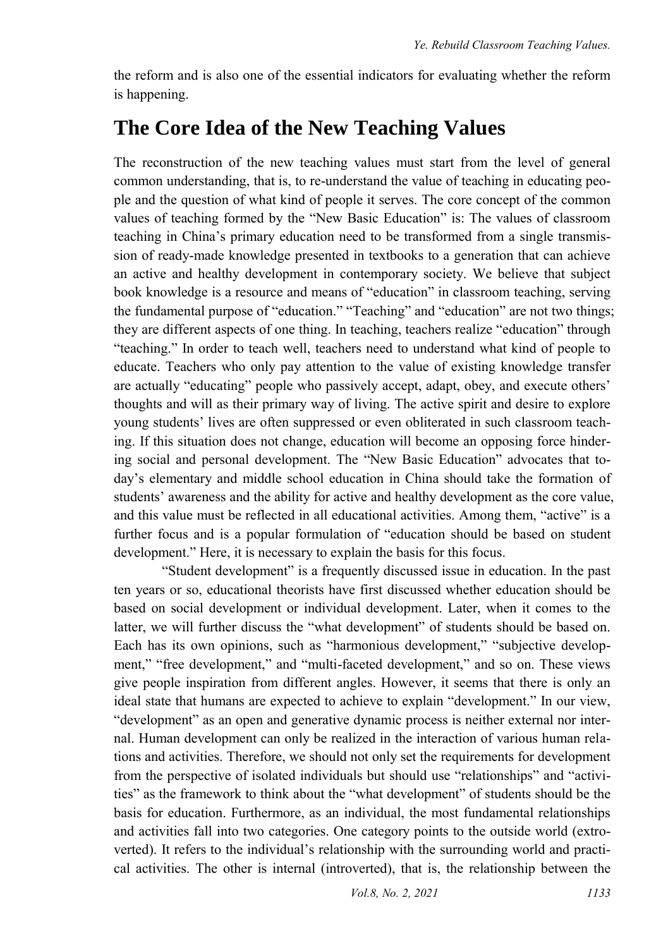the reform and is also one of the essential indicators for evaluating whether the reform is happening.

### **The Core Idea of the New Teaching Values**

The reconstruction of the new teaching values must start from the level of general common understanding, that is, to re-understand the value of teaching in educating people and the question of what kind of people it serves. The core concept of the common values of teaching formed by the "New Basic Education" is: The values of classroom teaching in China's primary education need to be transformed from a single transmission of ready-made knowledge presented in textbooks to a generation that can achieve an active and healthy development in contemporary society. We believe that subject book knowledge is a resource and means of "education" in classroom teaching, serving the fundamental purpose of "education." "Teaching" and "education" are not two things; they are different aspects of one thing. In teaching, teachers realize "education" through "teaching." In order to teach well, teachers need to understand what kind of people to educate. Teachers who only pay attention to the value of existing knowledge transfer are actually "educating" people who passively accept, adapt, obey, and execute others' thoughts and will as their primary way of living. The active spirit and desire to explore young students' lives are often suppressed or even obliterated in such classroom teaching. If this situation does not change, education will become an opposing force hindering social and personal development. The "New Basic Education" advocates that today's elementary and middle school education in China should take the formation of students' awareness and the ability for active and healthy development as the core value, and this value must be reflected in all educational activities. Among them, "active" is a further focus and is a popular formulation of "education should be based on student development." Here, it is necessary to explain the basis for this focus.

"Student development" is a frequently discussed issue in education. In the past ten years or so, educational theorists have first discussed whether education should be based on social development or individual development. Later, when it comes to the latter, we will further discuss the "what development" of students should be based on. Each has its own opinions, such as "harmonious development," "subjective development," "free development," and "multi-faceted development," and so on. These views give people inspiration from different angles. However, it seems that there is only an ideal state that humans are expected to achieve to explain "development." In our view, "development" as an open and generative dynamic process is neither external nor internal. Human development can only be realized in the interaction of various human relations and activities. Therefore, we should not only set the requirements for development from the perspective of isolated individuals but should use "relationships" and "activities" as the framework to think about the "what development" of students should be the basis for education. Furthermore, as an individual, the most fundamental relationships and activities fall into two categories. One category points to the outside world (extroverted). It refers to the individual's relationship with the surrounding world and practical activities. The other is internal (introverted), that is, the relationship between the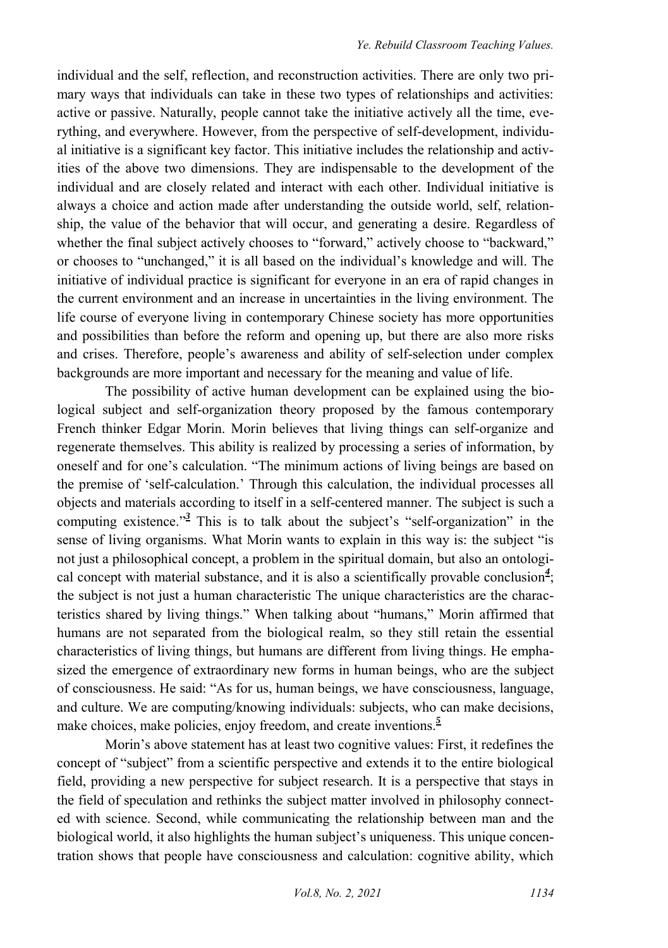individual and the self, reflection, and reconstruction activities. There are only two primary ways that individuals can take in these two types of relationships and activities: active or passive. Naturally, people cannot take the initiative actively all the time, everything, and everywhere. However, from the perspective of self-development, individual initiative is a significant key factor. This initiative includes the relationship and activities of the above two dimensions. They are indispensable to the development of the individual and are closely related and interact with each other. Individual initiative is always a choice and action made after understanding the outside world, self, relationship, the value of the behavior that will occur, and generating a desire. Regardless of whether the final subject actively chooses to "forward," actively choose to "backward," or chooses to "unchanged," it is all based on the individual's knowledge and will. The initiative of individual practice is significant for everyone in an era of rapid changes in the current environment and an increase in uncertainties in the living environment. The life course of everyone living in contemporary Chinese society has more opportunities and possibilities than before the reform and opening up, but there are also more risks and crises. Therefore, people's awareness and ability of self-selection under complex backgrounds are more important and necessary for the meaning and value of life.

The possibility of active human development can be explained using the biological subject and self-organization theory proposed by the famous contemporary French thinker Edgar Morin. Morin believes that living things can self-organize and regenerate themselves. This ability is realized by processing a series of information, by oneself and for one's calculation. "The minimum actions of living beings are based on the premise of 'self-calculation.' Through this calculation, the individual processes all objects and materials according to itself in a self-centered manner. The subject is such a computing existence.<sup>["](#page-10-1)3</sup> This is to talk about the subject's "self-organization" in the sense of living organisms. What Morin wants to explain in this way is: the subject "is not just a philosophical concept, a problem in the spiritual domain, but also an ontological concept with material substance, and it is also a scientifically provable conclusio[n](#page-10-2)*<sup>4</sup>* ; the subject is not just a human characteristic The unique characteristics are the characteristics shared by living things." When talking about "humans," Morin affirmed that humans are not separated from the biological realm, so they still retain the essential characteristics of living things, but humans are different from living things. He emphasized the emergence of extraordinary new forms in human beings, who are the subject of consciousness. He said: "As for us, human beings, we have consciousness, language, and culture. We are computing/knowing individuals: subjects, who can make decisions, make choices, make policies, enjoy freedom, and create inventions[.](#page-10-3)<sup>5</sup>

Morin's above statement has at least two cognitive values: First, it redefines the concept of "subject" from a scientific perspective and extends it to the entire biological field, providing a new perspective for subject research. It is a perspective that stays in the field of speculation and rethinks the subject matter involved in philosophy connected with science. Second, while communicating the relationship between man and the biological world, it also highlights the human subject's uniqueness. This unique concentration shows that people have consciousness and calculation: cognitive ability, which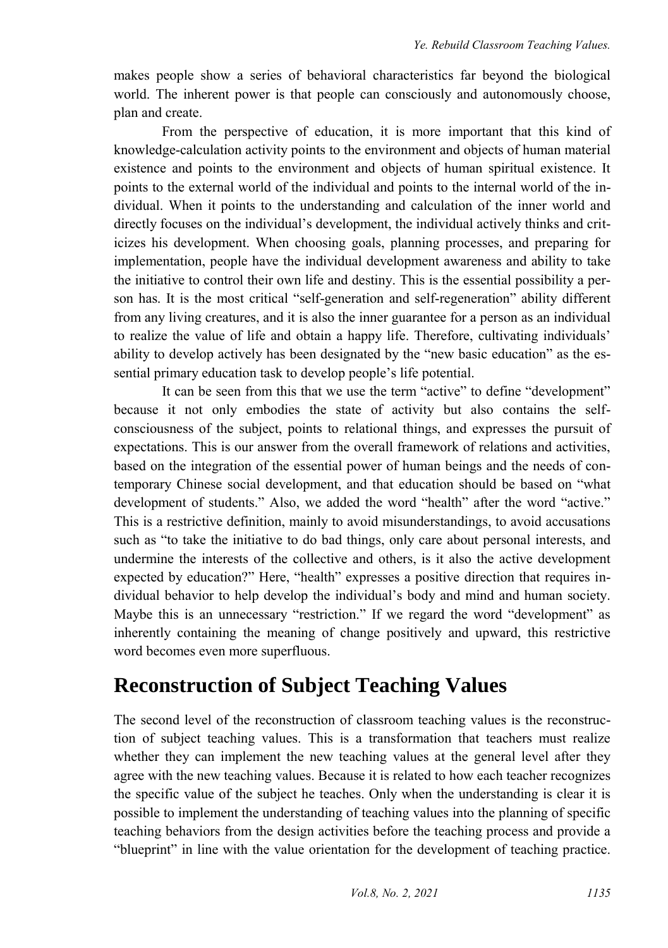makes people show a series of behavioral characteristics far beyond the biological world. The inherent power is that people can consciously and autonomously choose, plan and create.

From the perspective of education, it is more important that this kind of knowledge-calculation activity points to the environment and objects of human material existence and points to the environment and objects of human spiritual existence. It points to the external world of the individual and points to the internal world of the individual. When it points to the understanding and calculation of the inner world and directly focuses on the individual's development, the individual actively thinks and criticizes his development. When choosing goals, planning processes, and preparing for implementation, people have the individual development awareness and ability to take the initiative to control their own life and destiny. This is the essential possibility a person has. It is the most critical "self-generation and self-regeneration" ability different from any living creatures, and it is also the inner guarantee for a person as an individual to realize the value of life and obtain a happy life. Therefore, cultivating individuals' ability to develop actively has been designated by the "new basic education" as the essential primary education task to develop people's life potential.

It can be seen from this that we use the term "active" to define "development" because it not only embodies the state of activity but also contains the selfconsciousness of the subject, points to relational things, and expresses the pursuit of expectations. This is our answer from the overall framework of relations and activities, based on the integration of the essential power of human beings and the needs of contemporary Chinese social development, and that education should be based on "what development of students." Also, we added the word "health" after the word "active." This is a restrictive definition, mainly to avoid misunderstandings, to avoid accusations such as "to take the initiative to do bad things, only care about personal interests, and undermine the interests of the collective and others, is it also the active development expected by education?" Here, "health" expresses a positive direction that requires individual behavior to help develop the individual's body and mind and human society. Maybe this is an unnecessary "restriction." If we regard the word "development" as inherently containing the meaning of change positively and upward, this restrictive word becomes even more superfluous.

## **Reconstruction of Subject Teaching Values**

The second level of the reconstruction of classroom teaching values is the reconstruction of subject teaching values. This is a transformation that teachers must realize whether they can implement the new teaching values at the general level after they agree with the new teaching values. Because it is related to how each teacher recognizes the specific value of the subject he teaches. Only when the understanding is clear it is possible to implement the understanding of teaching values into the planning of specific teaching behaviors from the design activities before the teaching process and provide a "blueprint" in line with the value orientation for the development of teaching practice.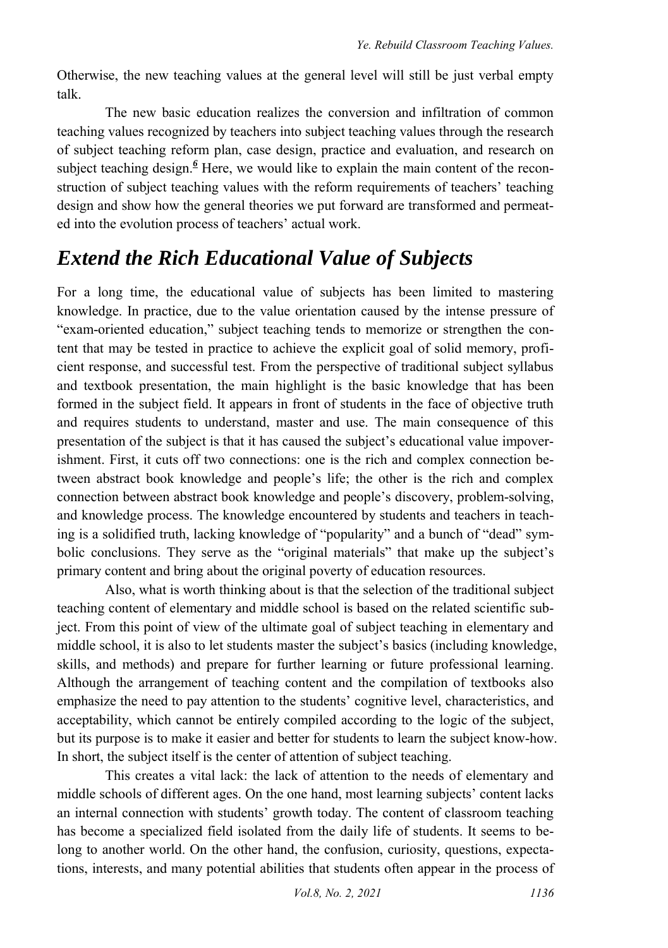Otherwise, the new teaching values at the general level will still be just verbal empty talk.

The new basic education realizes the conversion and infiltration of common teaching values recognized by teachers into subject teaching values through the research of subject teaching reform plan, case design, practice and evaluation, and research on subjectteaching design.<sup>6</sup> Here, we would like to explain the main content of the reconstruction of subject teaching values with the reform requirements of teachers' teaching design and show how the general theories we put forward are transformed and permeated into the evolution process of teachers' actual work.

# *Extend the Rich Educational Value of Subjects*

For a long time, the educational value of subjects has been limited to mastering knowledge. In practice, due to the value orientation caused by the intense pressure of "exam-oriented education," subject teaching tends to memorize or strengthen the content that may be tested in practice to achieve the explicit goal of solid memory, proficient response, and successful test. From the perspective of traditional subject syllabus and textbook presentation, the main highlight is the basic knowledge that has been formed in the subject field. It appears in front of students in the face of objective truth and requires students to understand, master and use. The main consequence of this presentation of the subject is that it has caused the subject's educational value impoverishment. First, it cuts off two connections: one is the rich and complex connection between abstract book knowledge and people's life; the other is the rich and complex connection between abstract book knowledge and people's discovery, problem-solving, and knowledge process. The knowledge encountered by students and teachers in teaching is a solidified truth, lacking knowledge of "popularity" and a bunch of "dead" symbolic conclusions. They serve as the "original materials" that make up the subject's primary content and bring about the original poverty of education resources.

Also, what is worth thinking about is that the selection of the traditional subject teaching content of elementary and middle school is based on the related scientific subject. From this point of view of the ultimate goal of subject teaching in elementary and middle school, it is also to let students master the subject's basics (including knowledge, skills, and methods) and prepare for further learning or future professional learning. Although the arrangement of teaching content and the compilation of textbooks also emphasize the need to pay attention to the students' cognitive level, characteristics, and acceptability, which cannot be entirely compiled according to the logic of the subject, but its purpose is to make it easier and better for students to learn the subject know-how. In short, the subject itself is the center of attention of subject teaching.

This creates a vital lack: the lack of attention to the needs of elementary and middle schools of different ages. On the one hand, most learning subjects' content lacks an internal connection with students' growth today. The content of classroom teaching has become a specialized field isolated from the daily life of students. It seems to belong to another world. On the other hand, the confusion, curiosity, questions, expectations, interests, and many potential abilities that students often appear in the process of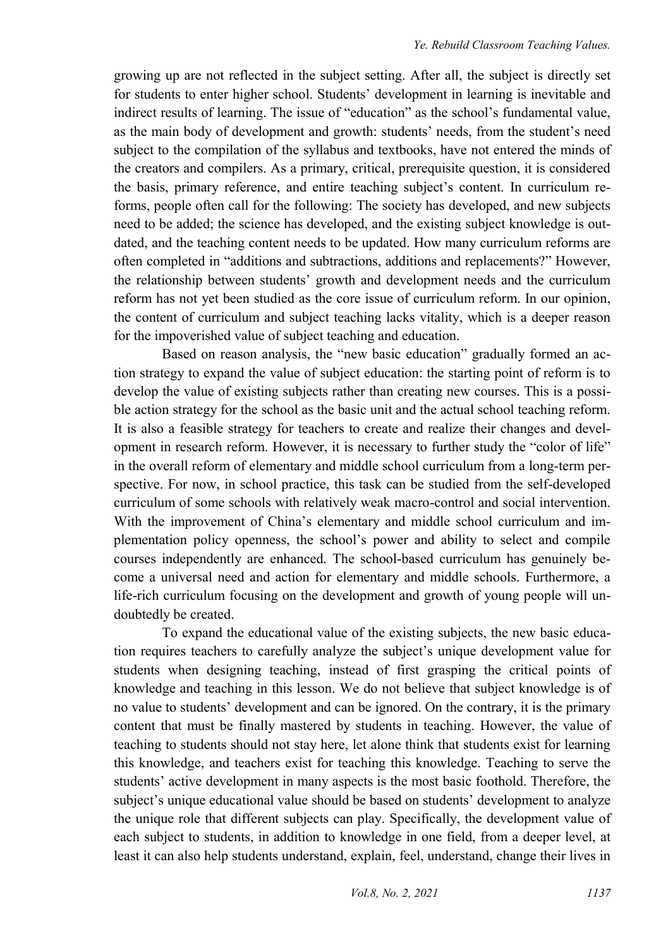growing up are not reflected in the subject setting. After all, the subject is directly set for students to enter higher school. Students' development in learning is inevitable and indirect results of learning. The issue of "education" as the school's fundamental value, as the main body of development and growth: students' needs, from the student's need subject to the compilation of the syllabus and textbooks, have not entered the minds of the creators and compilers. As a primary, critical, prerequisite question, it is considered the basis, primary reference, and entire teaching subject's content. In curriculum reforms, people often call for the following: The society has developed, and new subjects need to be added; the science has developed, and the existing subject knowledge is outdated, and the teaching content needs to be updated. How many curriculum reforms are often completed in "additions and subtractions, additions and replacements?" However, the relationship between students' growth and development needs and the curriculum reform has not yet been studied as the core issue of curriculum reform. In our opinion, the content of curriculum and subject teaching lacks vitality, which is a deeper reason for the impoverished value of subject teaching and education.

Based on reason analysis, the "new basic education" gradually formed an action strategy to expand the value of subject education: the starting point of reform is to develop the value of existing subjects rather than creating new courses. This is a possible action strategy for the school as the basic unit and the actual school teaching reform. It is also a feasible strategy for teachers to create and realize their changes and development in research reform. However, it is necessary to further study the "color of life" in the overall reform of elementary and middle school curriculum from a long-term perspective. For now, in school practice, this task can be studied from the self-developed curriculum of some schools with relatively weak macro-control and social intervention. With the improvement of China's elementary and middle school curriculum and implementation policy openness, the school's power and ability to select and compile courses independently are enhanced. The school-based curriculum has genuinely become a universal need and action for elementary and middle schools. Furthermore, a life-rich curriculum focusing on the development and growth of young people will undoubtedly be created.

To expand the educational value of the existing subjects, the new basic education requires teachers to carefully analyze the subject's unique development value for students when designing teaching, instead of first grasping the critical points of knowledge and teaching in this lesson. We do not believe that subject knowledge is of no value to students' development and can be ignored. On the contrary, it is the primary content that must be finally mastered by students in teaching. However, the value of teaching to students should not stay here, let alone think that students exist for learning this knowledge, and teachers exist for teaching this knowledge. Teaching to serve the students' active development in many aspects is the most basic foothold. Therefore, the subject's unique educational value should be based on students' development to analyze the unique role that different subjects can play. Specifically, the development value of each subject to students, in addition to knowledge in one field, from a deeper level, at least it can also help students understand, explain, feel, understand, change their lives in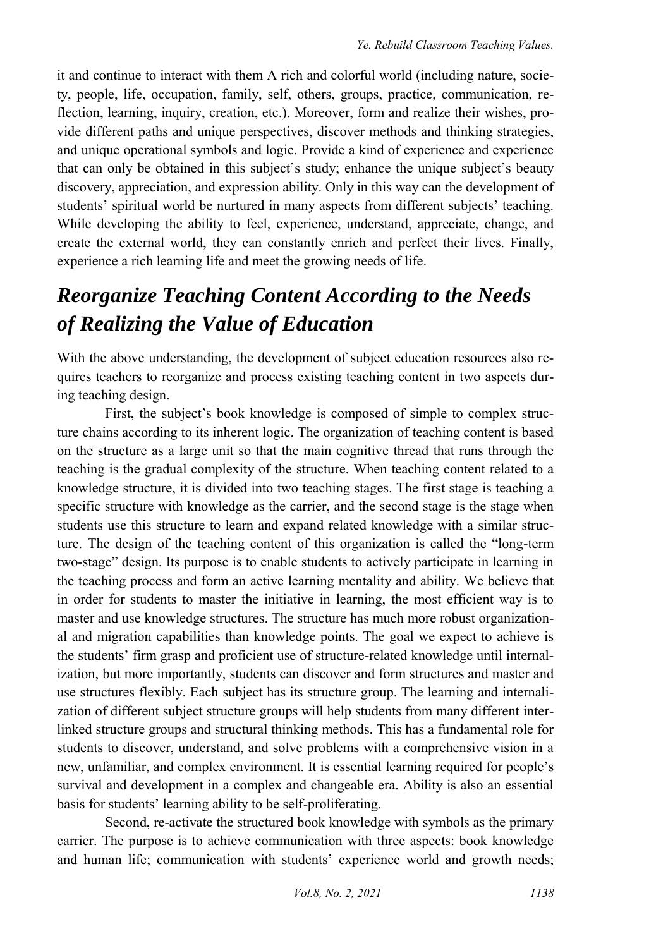it and continue to interact with them A rich and colorful world (including nature, society, people, life, occupation, family, self, others, groups, practice, communication, reflection, learning, inquiry, creation, etc.). Moreover, form and realize their wishes, provide different paths and unique perspectives, discover methods and thinking strategies, and unique operational symbols and logic. Provide a kind of experience and experience that can only be obtained in this subject's study; enhance the unique subject's beauty discovery, appreciation, and expression ability. Only in this way can the development of students' spiritual world be nurtured in many aspects from different subjects' teaching. While developing the ability to feel, experience, understand, appreciate, change, and create the external world, they can constantly enrich and perfect their lives. Finally, experience a rich learning life and meet the growing needs of life.

# *Reorganize Teaching Content According to the Needs of Realizing the Value of Education*

With the above understanding, the development of subject education resources also requires teachers to reorganize and process existing teaching content in two aspects during teaching design.

First, the subject's book knowledge is composed of simple to complex structure chains according to its inherent logic. The organization of teaching content is based on the structure as a large unit so that the main cognitive thread that runs through the teaching is the gradual complexity of the structure. When teaching content related to a knowledge structure, it is divided into two teaching stages. The first stage is teaching a specific structure with knowledge as the carrier, and the second stage is the stage when students use this structure to learn and expand related knowledge with a similar structure. The design of the teaching content of this organization is called the "long-term two-stage" design. Its purpose is to enable students to actively participate in learning in the teaching process and form an active learning mentality and ability. We believe that in order for students to master the initiative in learning, the most efficient way is to master and use knowledge structures. The structure has much more robust organizational and migration capabilities than knowledge points. The goal we expect to achieve is the students' firm grasp and proficient use of structure-related knowledge until internalization, but more importantly, students can discover and form structures and master and use structures flexibly. Each subject has its structure group. The learning and internalization of different subject structure groups will help students from many different interlinked structure groups and structural thinking methods. This has a fundamental role for students to discover, understand, and solve problems with a comprehensive vision in a new, unfamiliar, and complex environment. It is essential learning required for people's survival and development in a complex and changeable era. Ability is also an essential basis for students' learning ability to be self-proliferating.

Second, re-activate the structured book knowledge with symbols as the primary carrier. The purpose is to achieve communication with three aspects: book knowledge and human life; communication with students' experience world and growth needs;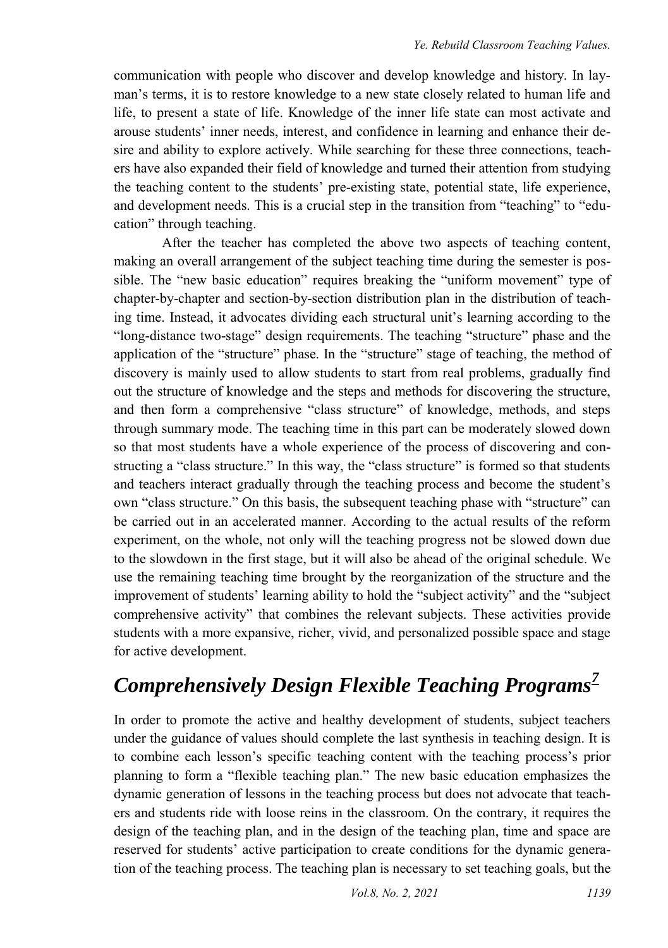communication with people who discover and develop knowledge and history. In layman's terms, it is to restore knowledge to a new state closely related to human life and life, to present a state of life. Knowledge of the inner life state can most activate and arouse students' inner needs, interest, and confidence in learning and enhance their desire and ability to explore actively. While searching for these three connections, teachers have also expanded their field of knowledge and turned their attention from studying the teaching content to the students' pre-existing state, potential state, life experience, and development needs. This is a crucial step in the transition from "teaching" to "education" through teaching.

After the teacher has completed the above two aspects of teaching content, making an overall arrangement of the subject teaching time during the semester is possible. The "new basic education" requires breaking the "uniform movement" type of chapter-by-chapter and section-by-section distribution plan in the distribution of teaching time. Instead, it advocates dividing each structural unit's learning according to the "long-distance two-stage" design requirements. The teaching "structure" phase and the application of the "structure" phase. In the "structure" stage of teaching, the method of discovery is mainly used to allow students to start from real problems, gradually find out the structure of knowledge and the steps and methods for discovering the structure, and then form a comprehensive "class structure" of knowledge, methods, and steps through summary mode. The teaching time in this part can be moderately slowed down so that most students have a whole experience of the process of discovering and constructing a "class structure." In this way, the "class structure" is formed so that students and teachers interact gradually through the teaching process and become the student's own "class structure." On this basis, the subsequent teaching phase with "structure" can be carried out in an accelerated manner. According to the actual results of the reform experiment, on the whole, not only will the teaching progress not be slowed down due to the slowdown in the first stage, but it will also be ahead of the original schedule. We use the remaining teaching time brought by the reorganization of the structure and the improvement of students' learning ability to hold the "subject activity" and the "subject comprehensive activity" that combines the relevant subjects. These activities provide students with a more expansive, richer, vivid, and personalized possible space and stage for active development.

# *Comprehensively Design Flexible Teaching Programs[7](#page-10-5)*

In order to promote the active and healthy development of students, subject teachers under the guidance of values should complete the last synthesis in teaching design. It is to combine each lesson's specific teaching content with the teaching process's prior planning to form a "flexible teaching plan." The new basic education emphasizes the dynamic generation of lessons in the teaching process but does not advocate that teachers and students ride with loose reins in the classroom. On the contrary, it requires the design of the teaching plan, and in the design of the teaching plan, time and space are reserved for students' active participation to create conditions for the dynamic generation of the teaching process. The teaching plan is necessary to set teaching goals, but the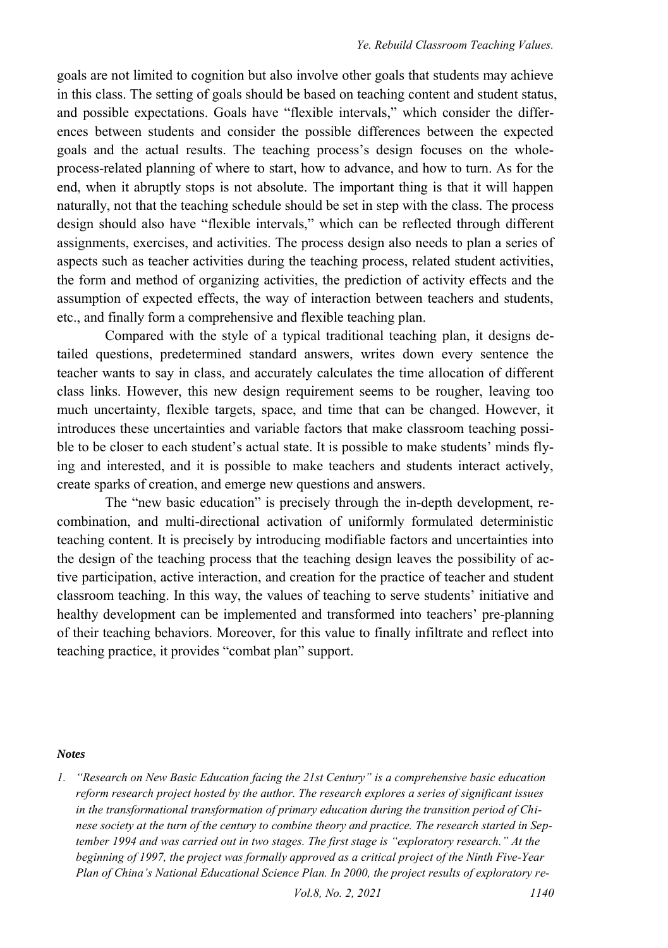goals are not limited to cognition but also involve other goals that students may achieve in this class. The setting of goals should be based on teaching content and student status, and possible expectations. Goals have "flexible intervals," which consider the differences between students and consider the possible differences between the expected goals and the actual results. The teaching process's design focuses on the wholeprocess-related planning of where to start, how to advance, and how to turn. As for the end, when it abruptly stops is not absolute. The important thing is that it will happen naturally, not that the teaching schedule should be set in step with the class. The process design should also have "flexible intervals," which can be reflected through different assignments, exercises, and activities. The process design also needs to plan a series of aspects such as teacher activities during the teaching process, related student activities, the form and method of organizing activities, the prediction of activity effects and the assumption of expected effects, the way of interaction between teachers and students, etc., and finally form a comprehensive and flexible teaching plan.

Compared with the style of a typical traditional teaching plan, it designs detailed questions, predetermined standard answers, writes down every sentence the teacher wants to say in class, and accurately calculates the time allocation of different class links. However, this new design requirement seems to be rougher, leaving too much uncertainty, flexible targets, space, and time that can be changed. However, it introduces these uncertainties and variable factors that make classroom teaching possible to be closer to each student's actual state. It is possible to make students' minds flying and interested, and it is possible to make teachers and students interact actively, create sparks of creation, and emerge new questions and answers.

The "new basic education" is precisely through the in-depth development, recombination, and multi-directional activation of uniformly formulated deterministic teaching content. It is precisely by introducing modifiable factors and uncertainties into the design of the teaching process that the teaching design leaves the possibility of active participation, active interaction, and creation for the practice of teacher and student classroom teaching. In this way, the values of teaching to serve students' initiative and healthy development can be implemented and transformed into teachers' pre-planning of their teaching behaviors. Moreover, for this value to finally infiltrate and reflect into teaching practice, it provides "combat plan" support.

#### *Notes*

<span id="page-9-0"></span>*1. "Research on New Basic Education facing the 21st Century" is a comprehensive basic education reform research project hosted by the author. The research explores a series of significant issues in the transformational transformation of primary education during the transition period of Chinese society at the turn of the century to combine theory and practice. The research started in September 1994 and was carried out in two stages. The first stage is "exploratory research." At the beginning of 1997, the project was formally approved as a critical project of the Ninth Five-Year Plan of China's National Educational Science Plan. In 2000, the project results of exploratory re-*